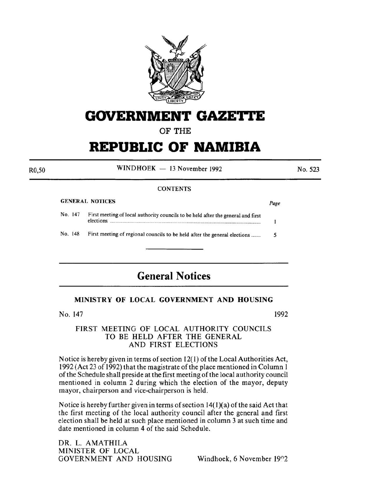

## **GOVERNMENT GAZETTE**

OF THE

# **REPUBLIC OF NAMIBIA**

 $WINDHOEK - 13 November 1992$ 

No. 523

#### **CONTENTS**

#### GENERAL NOTICES *Page*

RO,SO

| No. 147 | First meeting of local authority councils to be held after the general and first<br>elections. |  |  |
|---------|------------------------------------------------------------------------------------------------|--|--|
| No. 148 | First meeting of regional councils to be held after the general elections                      |  |  |

### **General Notices**

#### MINISTRY OF LOCAL GOVERNMENT AND HOUSING

No. 147

1992

#### FIRST MEETING OF LOCAL AUTHORITY COUNCILS TO BE HELD AFTER THE GENERAL AND FIRST ELECTIONS

Notice is hereby given in terms of section 12(1) of the Local Authorities Act, I 992 (Act 23 of 1992) that the magistrate of the place mentioned in Column I of the Schedule shall preside at the first meeting of the local authority council mentioned in column 2 during which the election of the mayor, deputy mayor, chairperson and vice-chairperson is held.

Notice is hereby further given in terms of section  $14(1)(a)$  of the said Act that the first meeting of the local authority council after the general and first election shall be held at such place mentioned in column 3 at such time and date mentioned in column 4 of the said Schedule.

DR. L. AMATHILA MINISTER OF LOCAL GOVERNMENT AND HOUSING Windhoek, 6 November 19n2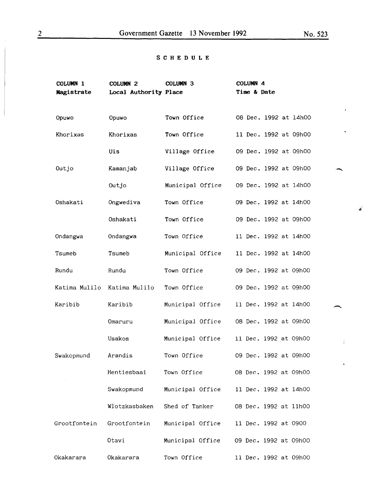#### SCHEDULE

| COLUMN 1      | <b>COLUMN 2</b>       | COLUMN <sub>3</sub> | COLUMN <sub>4</sub><br>Time & Date |
|---------------|-----------------------|---------------------|------------------------------------|
| Magistrate    | Local Authority Place |                     |                                    |
| Opuwo         | Opuwo                 | Town Office         | 08 Dec. 1992 at 14h00              |
| Khorixas      | Khorixas              | Town Office         | 11 Dec. 1992 at 09h00              |
|               | Uis                   | Village Office      | 09 Dec. 1992 at 09h00              |
| Outjo         | Kamanjab              | Village Office      | 09 Dec. 1992 at 09h00              |
|               | Outjo                 | Municipal Office    | 09 Dec. 1992 at 14h00              |
| Oshakati      | Ongwediva             | Town Office         | 09 Dec. 1992 at 14h00              |
|               | Oshakati              | Town Office         | 09 Dec. 1992 at 09h00              |
| Ondangwa      | Ondangwa              | Town Office         | 11 Dec. 1992 at 14h00              |
| Tsumeb        | Tsumeb                | Municipal Office    | 11 Dec. 1992 at 14h00              |
| Rundu         | Rundu                 | Town Office         | 09 Dec. 1992 at 09h00              |
| Katima Mulilo | Katima Mulilo         | Town Office         | 09 Dec. 1992 at 09h00              |
| Karibib       | Karibib               | Municipal Office    | 11 Dec. 1992 at 14h00              |
|               | Omaruru               | Municipal Office    | 08 Dec. 1992 at 09h00              |
|               | Usakos                | Municipal Office    | 11 Dec. 1992 at 09h00              |
| Swakopmund    | Arandis               | Town Office         | 09 Dec. 1992 at 09h00              |
|               | Hentiesbaai           | Town Office         | 08 Dec. 1992 at 09h00              |
|               | Swakopmund            | Municipal Office    | 11 Dec. 1992 at 14h00              |
|               | Wlotzkasbaken         | Shed of Tanker      | 08 Dec. 1992 at 11h00              |
| Grootfontein  | Grootfontein          | Municipal Office    | 11 Dec. 1992 at 0900               |
|               | Otavi                 | Municipal Office    | 09 Dec. 1992 at 09h00              |
| Okakarara     | Okakarara             | Town Office         | 11 Dec. 1992 at 09h00              |

 $\mathcal{L}^{\mathcal{C}}$ 

╮

 $\frac{1}{2}$ 

 $\hat{\mathbf{v}}$ 

 $\bar{\chi}$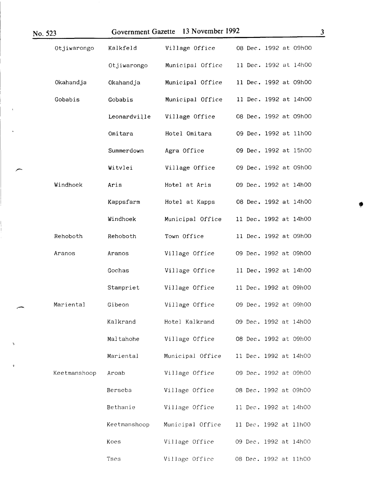| No. 523      | Government Gazette | 13 November 1992 | $\mathbf{3}$          |
|--------------|--------------------|------------------|-----------------------|
| Otjiwarongo  | Kalkfeld           | Village Office   | 08 Dec. 1992 at 09h00 |
|              | Otjiwarongo        | Municipal Office | 11 Dec. 1992 at 14h00 |
| Okahandja    | Okahandja          | Municipal Office | 11 Dec. 1992 at 09h00 |
| Gobabis      | Gobabis            | Municipal Office | 11 Dec. 1992 at 14h00 |
|              | Leonardville       | Village Office   | 08 Dec. 1992 at 09h00 |
|              | Omitara            | Hotel Omitara    | 09 Dec. 1992 at 11h00 |
|              | Summerdown         | Agra Office      | 09 Dec. 1992 at 15h00 |
|              | Witvlei            | Village Office   | 09 Dec. 1992 at 09h00 |
| Windhoek     | Aris               | Hotel at Aris    | 09 Dec. 1992 at 14h00 |
|              | Kappsfarm          | Hotel at Kapps   | 08 Dec. 1992 at 14h00 |
|              | Windhoek           | Municipal Office | 11 Dec. 1992 at 14h00 |
| Rehoboth     | Rehoboth           | Town Office      | 11 Dec. 1992 at 09h00 |
| Aranos       | Aranos             | Village Office   | 09 Dec. 1992 at 09h00 |
|              | Gochas             | Village Office   | 11 Dec. 1992 at 14h00 |
|              | Stampriet          | Village Office   | 11 Dec. 1992 at 09h00 |
| Mariental    | Gibeon             | Village Office   | 09 Dec. 1992 at 09h00 |
|              | Kalkrand           | Hotel Kalkrand   | 09 Dec. 1992 at 14h00 |
|              | Maltahohe          | Village Office   | 08 Dec. 1992 at 09h00 |
|              | Mariental          | Municipal Office | 11 Dec. 1992 at 14h00 |
| Keetmanshoop | Aroab              | Village Office   | 09 Dec. 1992 at 09h00 |
|              | Berseba            | Village Office   | 08 Dec. 1992 at 09h00 |
|              | Bethanie           | Village Office   | 11 Dec. 1992 at 14h00 |
|              | Keetmanshoop       | Municipal Office | 11 Dec. 1992 at 11h00 |
|              | Koes               | Village Office   | 09 Dec. 1992 at 14h00 |
|              | Tses               | Village Office   | 08 Dec. 1992 at 11h00 |

ı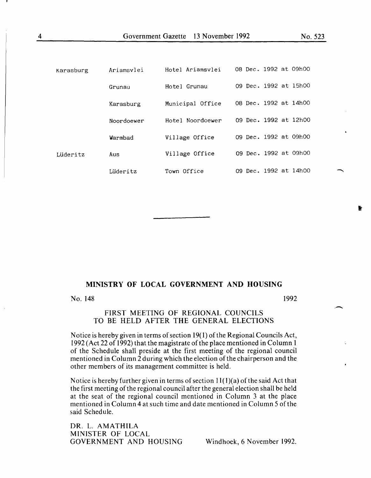| Karasburg | Ariamsvlei | Hotel Ariamsvlei | 08 Dec. 1992 at 09h00 |
|-----------|------------|------------------|-----------------------|
|           | Grunau     | Hotel Grunau     | 09 Dec. 1992 at 15h00 |
|           | Karasburg  | Municipal Office | 08 Dec. 1992 at 14h00 |
|           | Noordoewer | Hotel Noordoewer | 09 Dec. 1992 at 12h00 |
|           | Warmbad    | Village Office   | 09 Dec. 1992 at 09h00 |
| Lüderitz  | Aus        | Village Office   | 09 Dec. 1992 at 09h00 |
|           | Lüderitz   | Town Office      | 09 Dec. 1992 at 14h00 |

#### **MINISTRY OF LOCAL GOVERNMENT AND HOUSING**

No. 148

1992

#### FIRST MEETING OF REGIONAL COUNCILS TO BE HELD AFTER THE GENERAL ELECTIONS

Notice is hereby given in terms of section 19( 1) of the Regional Councils Act, 1992 (Act 22 of 1992) that the magistrate of the place mentioned in Column 1 of the Schedule shall preside at the first meeting of the regional council mentioned in Column 2 during which the election of the chairperson and the other members of its management committee is held.

Notice is hereby further given in terms of section  $11(1)(a)$  of the said Act that the first meeting of the regional council after the general election shall be held at the seat of the regional council mentioned in Column 3 at the place mentioned in Column 4 at such time and date mentioned in Column 5 of the said Schedule.

DR. L. AMATHILA MINISTER OF LOCAL GOVERNMENT AND HOUSING Windhoek, 6 November 1992.